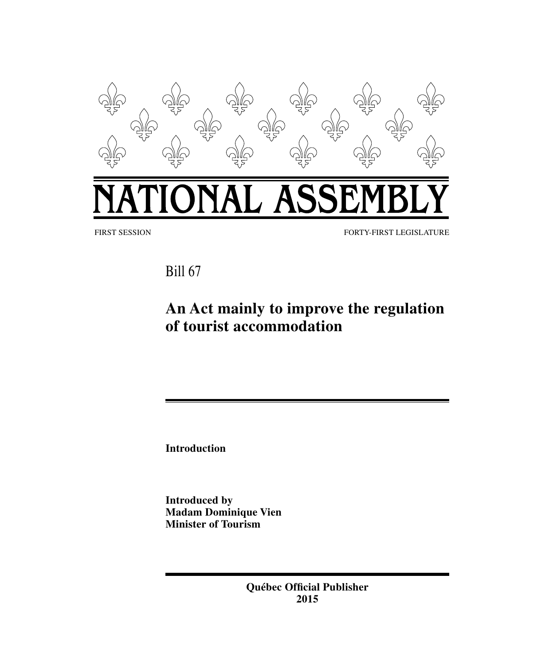

Bill 67

# **An Act mainly to improve the regulation of tourist accommodation**

**Introduction**

**Introduced by Madam Dominique Vien Minister of Tourism**

> **Québec Official Publisher 2015**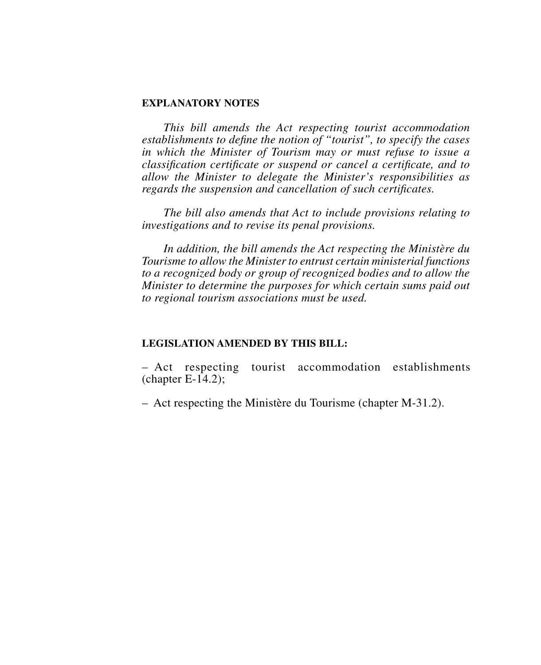#### **EXPLANATORY NOTES**

*This bill amends the Act respecting tourist accommodation establishments to define the notion of "tourist", to specify the cases in which the Minister of Tourism may or must refuse to issue a classification certificate or suspend or cancel a certificate, and to allow the Minister to delegate the Minister's responsibilities as regards the suspension and cancellation of such certificates.*

*The bill also amends that Act to include provisions relating to investigations and to revise its penal provisions.*

*In addition, the bill amends the Act respecting the Ministère du Tourisme to allow the Minister to entrust certain ministerial functions to a recognized body or group of recognized bodies and to allow the Minister to determine the purposes for which certain sums paid out to regional tourism associations must be used.*

#### **LEGISLATION AMENDED BY THIS BILL:**

– Act respecting tourist accommodation establishments  $(char E-14.2):$ 

– Act respecting the Ministère du Tourisme (chapter M‑31.2).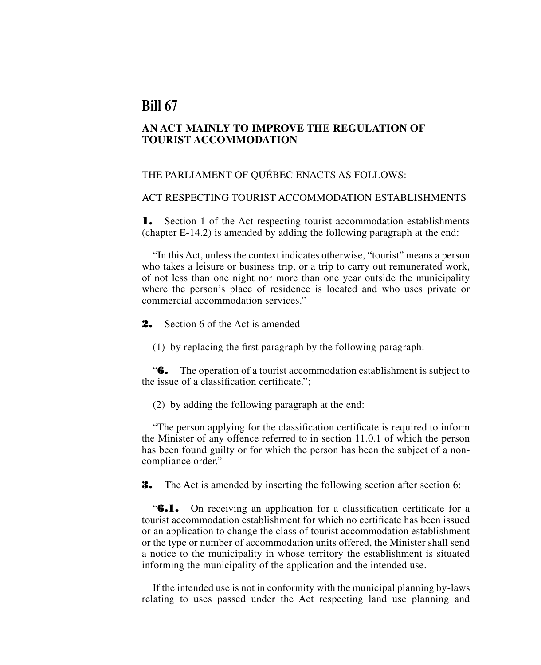# **Bill 67**

# **AN ACT MAINLY TO IMPROVE THE REGULATION OF TOURIST ACCOMMODATION**

## THE PARLIAMENT OF QUÉBEC ENACTS AS FOLLOWS:

#### ACT RESPECTING TOURIST ACCOMMODATION ESTABLISHMENTS

**1.** Section 1 of the Act respecting tourist accommodation establishments (chapter E‑14.2) is amended by adding the following paragraph at the end:

"In this Act, unless the context indicates otherwise, "tourist" means a person who takes a leisure or business trip, or a trip to carry out remunerated work, of not less than one night nor more than one year outside the municipality where the person's place of residence is located and who uses private or commercial accommodation services."

2. Section 6 of the Act is amended

(1) by replacing the first paragraph by the following paragraph:

"6. The operation of a tourist accommodation establishment is subject to the issue of a classification certificate.";

(2) by adding the following paragraph at the end:

"The person applying for the classification certificate is required to inform the Minister of any offence referred to in section 11.0.1 of which the person has been found guilty or for which the person has been the subject of a non compliance order."

**3.** The Act is amended by inserting the following section after section 6:

"6.1. On receiving an application for a classification certificate for a tourist accommodation establishment for which no certificate has been issued or an application to change the class of tourist accommodation establishment or the type or number of accommodation units offered, the Minister shall send a notice to the municipality in whose territory the establishment is situated informing the municipality of the application and the intended use.

If the intended use is not in conformity with the municipal planning by laws relating to uses passed under the Act respecting land use planning and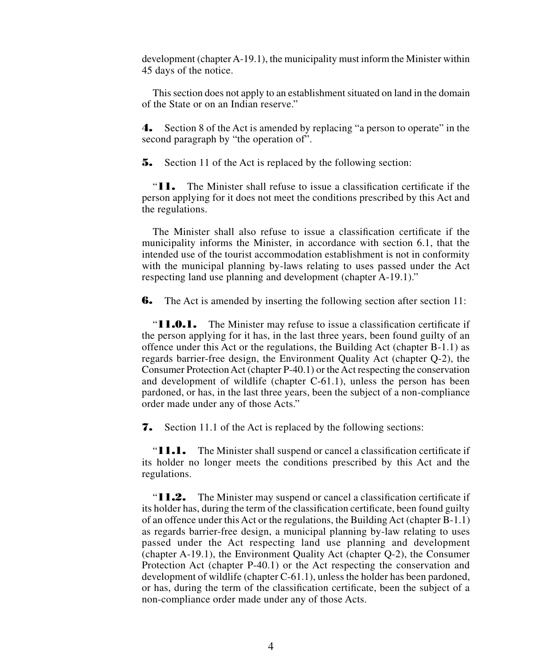development (chapter A‑19.1), the municipality must inform the Minister within 45 days of the notice.

This section does not apply to an establishment situated on land in the domain of the State or on an Indian reserve."

4. Section 8 of the Act is amended by replacing "a person to operate" in the second paragraph by "the operation of".

**5.** Section 11 of the Act is replaced by the following section:

"11. The Minister shall refuse to issue a classification certificate if the person applying for it does not meet the conditions prescribed by this Act and the regulations.

The Minister shall also refuse to issue a classification certificate if the municipality informs the Minister, in accordance with section 6.1, that the intended use of the tourist accommodation establishment is not in conformity with the municipal planning by-laws relating to uses passed under the Act respecting land use planning and development (chapter A-19.1)."

**6.** The Act is amended by inserting the following section after section 11:

"**11.0.1.** The Minister may refuse to issue a classification certificate if the person applying for it has, in the last three years, been found guilty of an offence under this Act or the regulations, the Building Act (chapter B‑1.1) as regards barrier free design, the Environment Quality Act (chapter Q‑2), the Consumer Protection Act (chapter P‑40.1) or the Act respecting the conservation and development of wildlife (chapter C-61.1), unless the person has been pardoned, or has, in the last three years, been the subject of a non compliance order made under any of those Acts."

7. Section 11.1 of the Act is replaced by the following sections:

"**11.1.** The Minister shall suspend or cancel a classification certificate if its holder no longer meets the conditions prescribed by this Act and the regulations.

"**11.2.** The Minister may suspend or cancel a classification certificate if its holder has, during the term of the classification certificate, been found guilty of an offence under this Act or the regulations, the Building Act (chapter  $B-1.1$ ) as regards barrier free design, a municipal planning by law relating to uses passed under the Act respecting land use planning and development (chapter A‑19.1), the Environment Quality Act (chapter Q‑2), the Consumer Protection Act (chapter P-40.1) or the Act respecting the conservation and development of wildlife (chapter C-61.1), unless the holder has been pardoned, or has, during the term of the classification certificate, been the subject of a non compliance order made under any of those Acts.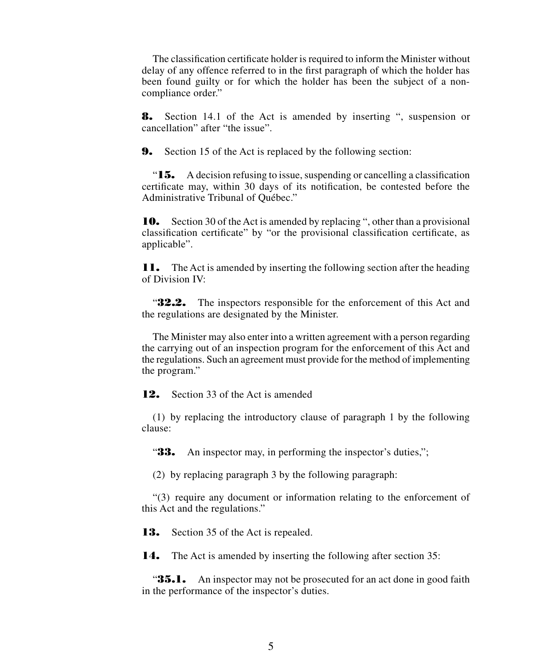The classification certificate holder is required to inform the Minister without delay of any offence referred to in the first paragraph of which the holder has been found guilty or for which the holder has been the subject of a noncompliance order."

8. Section 14.1 of the Act is amended by inserting ", suspension or cancellation" after "the issue".

**9.** Section 15 of the Act is replaced by the following section:

" $15.$  A decision refusing to issue, suspending or cancelling a classification certificate may, within 30 days of its notification, be contested before the Administrative Tribunal of Québec."

10. Section 30 of the Act is amended by replacing ", other than a provisional classification certificate" by "or the provisional classification certificate, as applicable".

**11.** The Act is amended by inserting the following section after the heading of Division IV:

**32.2.** The inspectors responsible for the enforcement of this Act and the regulations are designated by the Minister.

The Minister may also enter into a written agreement with a person regarding the carrying out of an inspection program for the enforcement of this Act and the regulations. Such an agreement must provide for the method of implementing the program."

**12.** Section 33 of the Act is amended

(1) by replacing the introductory clause of paragraph 1 by the following clause:

"33. An inspector may, in performing the inspector's duties,";

(2) by replacing paragraph 3 by the following paragraph:

"(3) require any document or information relating to the enforcement of this Act and the regulations."

**13.** Section 35 of the Act is repealed.

14. The Act is amended by inserting the following after section 35:

**35.1.** An inspector may not be prosecuted for an act done in good faith in the performance of the inspector's duties.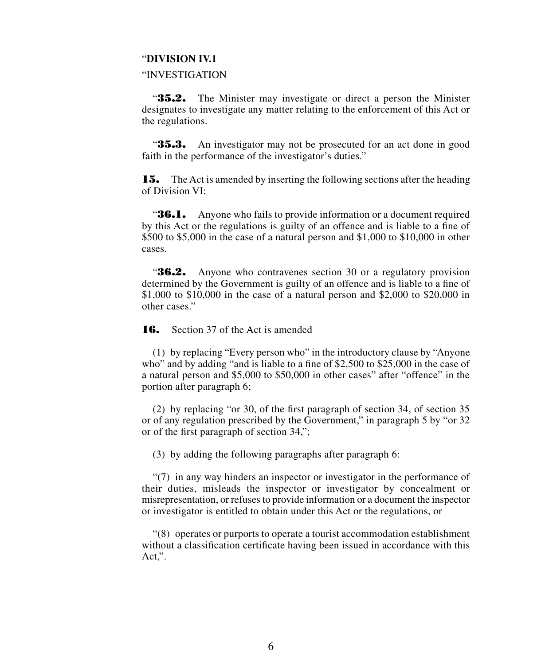#### "**DIVISION IV.1**

#### "INVESTIGATION

**35.2.** The Minister may investigate or direct a person the Minister designates to investigate any matter relating to the enforcement of this Act or the regulations.

"35.3. An investigator may not be prosecuted for an act done in good faith in the performance of the investigator's duties."

**15.** The Act is amended by inserting the following sections after the heading of Division VI:

**36.1.** Anyone who fails to provide information or a document required by this Act or the regulations is guilty of an offence and is liable to a fine of \$500 to \$5,000 in the case of a natural person and \$1,000 to \$10,000 in other cases.

**36.2.** Anyone who contravenes section 30 or a regulatory provision determined by the Government is guilty of an offence and is liable to a fine of \$1,000 to \$10,000 in the case of a natural person and \$2,000 to \$20,000 in other cases."

**16.** Section 37 of the Act is amended

(1) by replacing "Every person who" in the introductory clause by "Anyone who" and by adding "and is liable to a fine of \$2,500 to \$25,000 in the case of a natural person and \$5,000 to \$50,000 in other cases" after "offence" in the portion after paragraph 6;

(2) by replacing "or 30, of the first paragraph of section 34, of section 35 or of any regulation prescribed by the Government," in paragraph 5 by "or 32 or of the first paragraph of section 34,";

(3) by adding the following paragraphs after paragraph 6:

"(7) in any way hinders an inspector or investigator in the performance of their duties, misleads the inspector or investigator by concealment or misrepresentation, or refuses to provide information or a document the inspector or investigator is entitled to obtain under this Act or the regulations, or

"(8) operates or purports to operate a tourist accommodation establishment without a classification certificate having been issued in accordance with this Act,".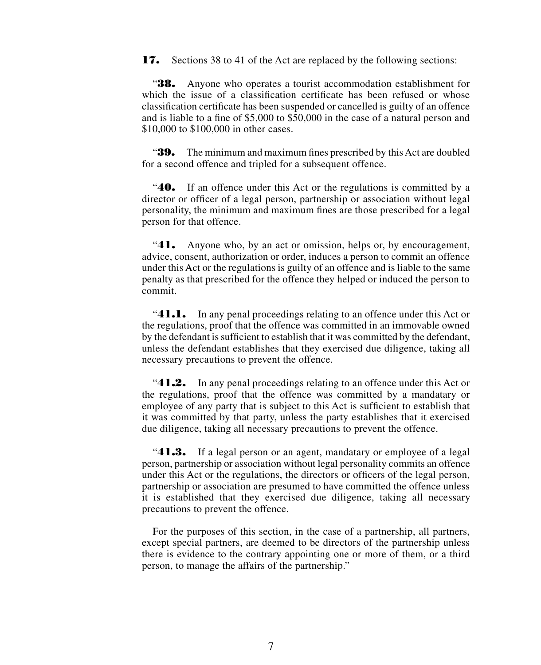**17.** Sections 38 to 41 of the Act are replaced by the following sections:

"38. Anyone who operates a tourist accommodation establishment for which the issue of a classification certificate has been refused or whose classification certificate has been suspended or cancelled is guilty of an offence and is liable to a fine of \$5,000 to \$50,000 in the case of a natural person and \$10,000 to \$100,000 in other cases.

**39.** The minimum and maximum fines prescribed by this Act are doubled for a second offence and tripled for a subsequent offence.

**40.** If an offence under this Act or the regulations is committed by a director or officer of a legal person, partnership or association without legal personality, the minimum and maximum fines are those prescribed for a legal person for that offence.

"41. Anyone who, by an act or omission, helps or, by encouragement, advice, consent, authorization or order, induces a person to commit an offence under this Act or the regulations is guilty of an offence and is liable to the same penalty as that prescribed for the offence they helped or induced the person to commit.

"41.1. In any penal proceedings relating to an offence under this Act or the regulations, proof that the offence was committed in an immovable owned by the defendant is sufficient to establish that it was committed by the defendant, unless the defendant establishes that they exercised due diligence, taking all necessary precautions to prevent the offence.

" $41.2.$  In any penal proceedings relating to an offence under this Act or the regulations, proof that the offence was committed by a mandatary or employee of any party that is subject to this Act is sufficient to establish that it was committed by that party, unless the party establishes that it exercised due diligence, taking all necessary precautions to prevent the offence.

"**41.3.** If a legal person or an agent, mandatary or employee of a legal person, partnership or association without legal personality commits an offence under this Act or the regulations, the directors or officers of the legal person, partnership or association are presumed to have committed the offence unless it is established that they exercised due diligence, taking all necessary precautions to prevent the offence.

For the purposes of this section, in the case of a partnership, all partners, except special partners, are deemed to be directors of the partnership unless there is evidence to the contrary appointing one or more of them, or a third person, to manage the affairs of the partnership."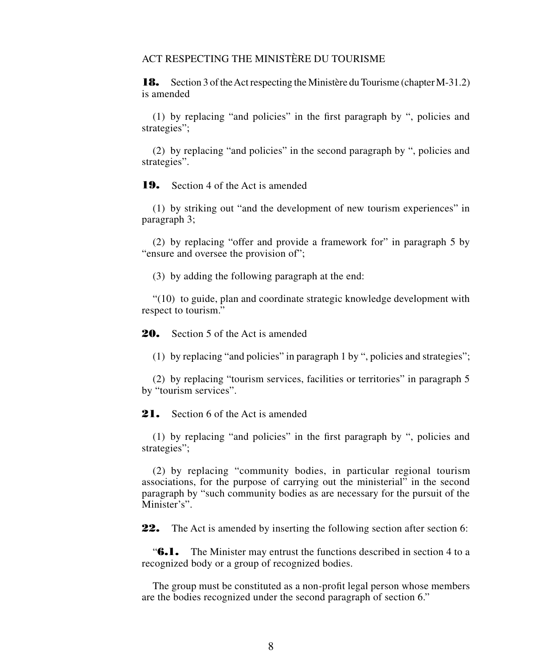# ACT RESPECTING THE MINISTÈRE DU TOURISME

**18.** Section 3 of the Act respecting the Ministère du Tourisme (chapter M-31.2) is amended

(1) by replacing "and policies" in the first paragraph by ", policies and strategies";

(2) by replacing "and policies" in the second paragraph by ", policies and strategies".

19. Section 4 of the Act is amended

(1) by striking out "and the development of new tourism experiences" in paragraph 3;

(2) by replacing "offer and provide a framework for" in paragraph 5 by "ensure and oversee the provision of";

(3) by adding the following paragraph at the end:

"(10) to guide, plan and coordinate strategic knowledge development with respect to tourism."

20. Section 5 of the Act is amended

(1) by replacing "and policies" in paragraph 1 by ", policies and strategies";

(2) by replacing "tourism services, facilities or territories" in paragraph 5 by "tourism services".

21. Section 6 of the Act is amended

(1) by replacing "and policies" in the first paragraph by ", policies and strategies";

(2) by replacing "community bodies, in particular regional tourism associations, for the purpose of carrying out the ministerial" in the second paragraph by "such community bodies as are necessary for the pursuit of the Minister's".

**22.** The Act is amended by inserting the following section after section 6:

"6.1. The Minister may entrust the functions described in section 4 to a recognized body or a group of recognized bodies.

The group must be constituted as a non profit legal person whose members are the bodies recognized under the second paragraph of section 6."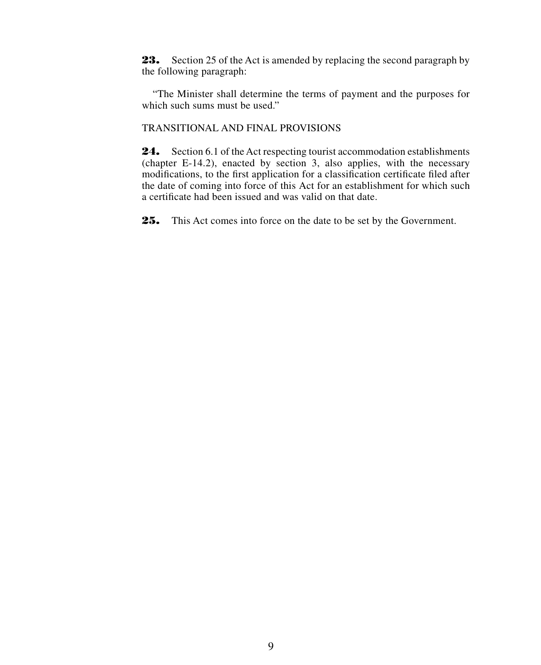23. Section 25 of the Act is amended by replacing the second paragraph by the following paragraph:

"The Minister shall determine the terms of payment and the purposes for which such sums must be used."

# TRANSITIONAL AND FINAL PROVISIONS

24. Section 6.1 of the Act respecting tourist accommodation establishments (chapter E‑14.2), enacted by section 3, also applies, with the necessary modifications, to the first application for a classification certificate filed after the date of coming into force of this Act for an establishment for which such a certificate had been issued and was valid on that date.

25. This Act comes into force on the date to be set by the Government.